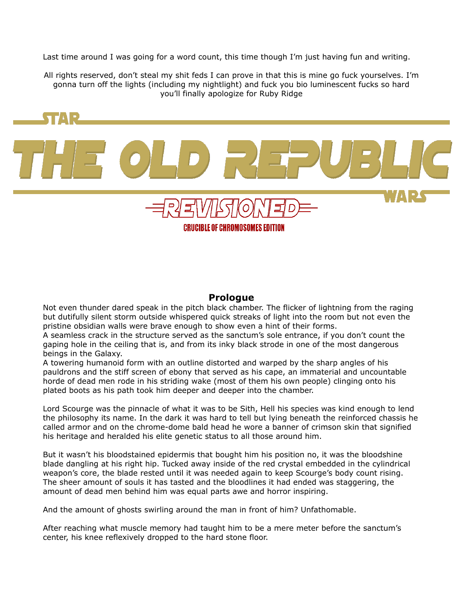Last time around I was going for a word count, this time though I'm just having fun and writing.

All rights reserved, don't steal my shit feds I can prove in that this is mine go fuck yourselves. I'm gonna turn off the lights (including my nightlight) and fuck you bio luminescent fucks so hard you'll finally apologize for Ruby Ridge



## **Prologue**

Not even thunder dared speak in the pitch black chamber. The flicker of lightning from the raging but dutifully silent storm outside whispered quick streaks of light into the room but not even the pristine obsidian walls were brave enough to show even a hint of their forms.

A seamless crack in the structure served as the sanctum's sole entrance, if you don't count the gaping hole in the ceiling that is, and from its inky black strode in one of the most dangerous beings in the Galaxy.

A towering humanoid form with an outline distorted and warped by the sharp angles of his pauldrons and the stiff screen of ebony that served as his cape, an immaterial and uncountable horde of dead men rode in his striding wake (most of them his own people) clinging onto his plated boots as his path took him deeper and deeper into the chamber.

Lord Scourge was the pinnacle of what it was to be Sith, Hell his species was kind enough to lend the philosophy its name. In the dark it was hard to tell but lying beneath the reinforced chassis he called armor and on the chrome-dome bald head he wore a banner of crimson skin that signified his heritage and heralded his elite genetic status to all those around him.

But it wasn't his bloodstained epidermis that bought him his position no, it was the bloodshine blade dangling at his right hip. Tucked away inside of the red crystal embedded in the cylindrical weapon's core, the blade rested until it was needed again to keep Scourge's body count rising. The sheer amount of souls it has tasted and the bloodlines it had ended was staggering, the amount of dead men behind him was equal parts awe and horror inspiring.

And the amount of ghosts swirling around the man in front of him? Unfathomable.

After reaching what muscle memory had taught him to be a mere meter before the sanctum's center, his knee reflexively dropped to the hard stone floor.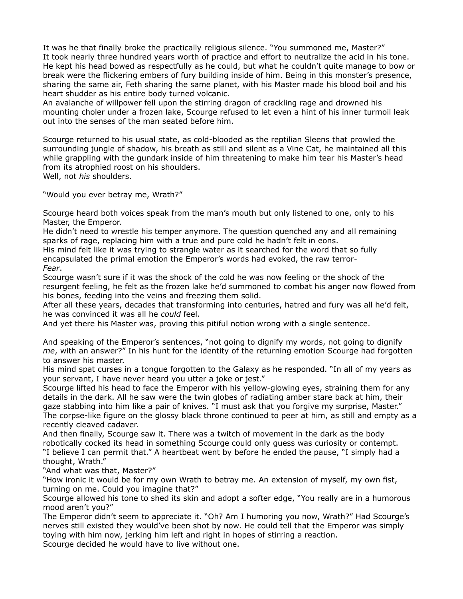It was he that finally broke the practically religious silence. "You summoned me, Master?" It took nearly three hundred years worth of practice and effort to neutralize the acid in his tone. He kept his head bowed as respectfully as he could, but what he couldn't quite manage to bow or break were the flickering embers of fury building inside of him. Being in this monster's presence, sharing the same air, Feth sharing the same planet, with his Master made his blood boil and his heart shudder as his entire body turned volcanic.

An avalanche of willpower fell upon the stirring dragon of crackling rage and drowned his mounting choler under a frozen lake, Scourge refused to let even a hint of his inner turmoil leak out into the senses of the man seated before him.

Scourge returned to his usual state, as cold-blooded as the reptilian Sleens that prowled the surrounding jungle of shadow, his breath as still and silent as a Vine Cat, he maintained all this while grappling with the gundark inside of him threatening to make him tear his Master's head from its atrophied roost on his shoulders.

Well, not *his* shoulders.

"Would you ever betray me, Wrath?"

Scourge heard both voices speak from the man's mouth but only listened to one, only to his Master, the Emperor.

He didn't need to wrestle his temper anymore. The question quenched any and all remaining sparks of rage, replacing him with a true and pure cold he hadn't felt in eons.

His mind felt like it was trying to strangle water as it searched for the word that so fully encapsulated the primal emotion the Emperor's words had evoked, the raw terror-*Fear*.

Scourge wasn't sure if it was the shock of the cold he was now feeling or the shock of the resurgent feeling, he felt as the frozen lake he'd summoned to combat his anger now flowed from his bones, feeding into the veins and freezing them solid.

After all these years, decades that transforming into centuries, hatred and fury was all he'd felt, he was convinced it was all he *could* feel.

And yet there his Master was, proving this pitiful notion wrong with a single sentence.

And speaking of the Emperor's sentences, "not going to dignify my words, not going to dignify *me*, with an answer?" In his hunt for the identity of the returning emotion Scourge had forgotten to answer his master.

His mind spat curses in a tongue forgotten to the Galaxy as he responded. "In all of my years as your servant, I have never heard you utter a joke or jest."

Scourge lifted his head to face the Emperor with his yellow-glowing eyes, straining them for any details in the dark. All he saw were the twin globes of radiating amber stare back at him, their gaze stabbing into him like a pair of knives. "I must ask that you forgive my surprise, Master." The corpse-like figure on the glossy black throne continued to peer at him, as still and empty as a recently cleaved cadaver.

And then finally, Scourge saw it. There was a twitch of movement in the dark as the body robotically cocked its head in something Scourge could only guess was curiosity or contempt. "I believe I can permit that." A heartbeat went by before he ended the pause, "I simply had a thought, Wrath."

"And what was that, Master?"

"How ironic it would be for my own Wrath to betray me. An extension of myself, my own fist, turning on me. Could you imagine that?"

Scourge allowed his tone to shed its skin and adopt a softer edge, "You really are in a humorous mood aren't you?"

The Emperor didn't seem to appreciate it. "Oh? Am I humoring you now, Wrath?" Had Scourge's nerves still existed they would've been shot by now. He could tell that the Emperor was simply toying with him now, jerking him left and right in hopes of stirring a reaction.

Scourge decided he would have to live without one.